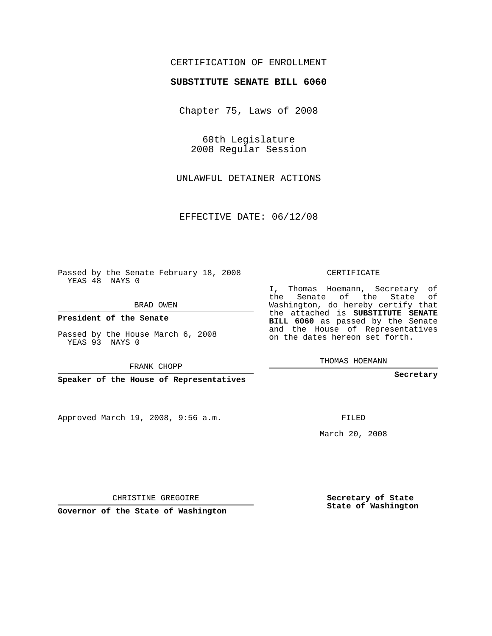# CERTIFICATION OF ENROLLMENT

### **SUBSTITUTE SENATE BILL 6060**

Chapter 75, Laws of 2008

60th Legislature 2008 Regular Session

UNLAWFUL DETAINER ACTIONS

EFFECTIVE DATE: 06/12/08

Passed by the Senate February 18, 2008 YEAS 48 NAYS 0

BRAD OWEN

**President of the Senate**

Passed by the House March 6, 2008 YEAS 93 NAYS 0

FRANK CHOPP

**Speaker of the House of Representatives**

Approved March 19, 2008, 9:56 a.m.

CERTIFICATE

I, Thomas Hoemann, Secretary of the Senate of the State of Washington, do hereby certify that the attached is **SUBSTITUTE SENATE BILL 6060** as passed by the Senate and the House of Representatives on the dates hereon set forth.

THOMAS HOEMANN

**Secretary**

FILED

March 20, 2008

**Secretary of State State of Washington**

CHRISTINE GREGOIRE

**Governor of the State of Washington**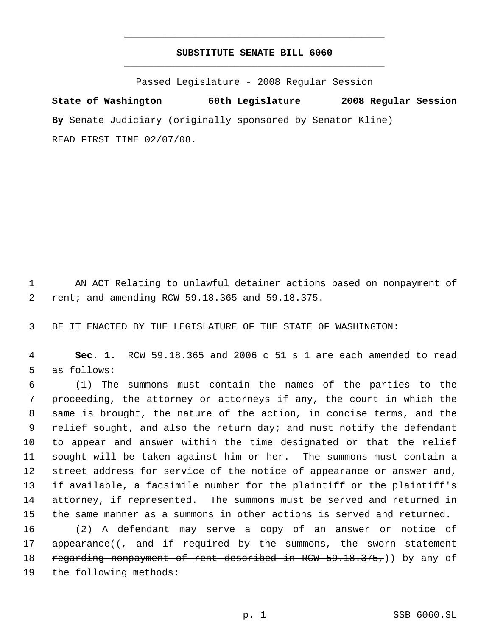# **SUBSTITUTE SENATE BILL 6060** \_\_\_\_\_\_\_\_\_\_\_\_\_\_\_\_\_\_\_\_\_\_\_\_\_\_\_\_\_\_\_\_\_\_\_\_\_\_\_\_\_\_\_\_\_

\_\_\_\_\_\_\_\_\_\_\_\_\_\_\_\_\_\_\_\_\_\_\_\_\_\_\_\_\_\_\_\_\_\_\_\_\_\_\_\_\_\_\_\_\_

Passed Legislature - 2008 Regular Session

**State of Washington 60th Legislature 2008 Regular Session By** Senate Judiciary (originally sponsored by Senator Kline) READ FIRST TIME 02/07/08.

 1 AN ACT Relating to unlawful detainer actions based on nonpayment of 2 rent; and amending RCW 59.18.365 and 59.18.375.

3 BE IT ENACTED BY THE LEGISLATURE OF THE STATE OF WASHINGTON:

 4 **Sec. 1.** RCW 59.18.365 and 2006 c 51 s 1 are each amended to read 5 as follows:

 (1) The summons must contain the names of the parties to the proceeding, the attorney or attorneys if any, the court in which the same is brought, the nature of the action, in concise terms, and the 9 relief sought, and also the return day; and must notify the defendant to appear and answer within the time designated or that the relief sought will be taken against him or her. The summons must contain a street address for service of the notice of appearance or answer and, if available, a facsimile number for the plaintiff or the plaintiff's attorney, if represented. The summons must be served and returned in the same manner as a summons in other actions is served and returned.

16 (2) A defendant may serve a copy of an answer or notice of 17 appearance((, and if required by the summons, the sworn statement 18 regarding nonpayment of rent described in RCW 59.18.375,)) by any of 19 the following methods: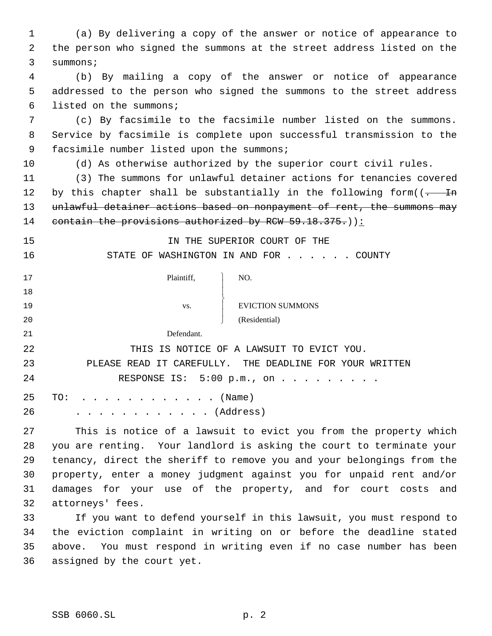(a) By delivering a copy of the answer or notice of appearance to the person who signed the summons at the street address listed on the summons; (b) By mailing a copy of the answer or notice of appearance addressed to the person who signed the summons to the street address listed on the summons; (c) By facsimile to the facsimile number listed on the summons. Service by facsimile is complete upon successful transmission to the 9 facsimile number listed upon the summons; (d) As otherwise authorized by the superior court civil rules. (3) The summons for unlawful detainer actions for tenancies covered 12 by this chapter shall be substantially in the following form( $(-$  In 13 unlawful detainer actions based on nonpayment of rent, the summons may 14 contain the provisions authorized by RCW 59.18.375.)): IN THE SUPERIOR COURT OF THE 16 STATE OF WASHINGTON IN AND FOR . . . . . COUNTY Plaintiff,  $\overline{1}$  $\overline{1}$  $\left\{ \right.$  $\overline{1}$  $\overline{1}$ J NO. 19 vs. FUICTION SUMMONS (Residential) Defendant. THIS IS NOTICE OF A LAWSUIT TO EVICT YOU. PLEASE READ IT CAREFULLY. THE DEADLINE FOR YOUR WRITTEN 24 RESPONSE IS: 5:00 p.m., on . . . . . . . . . 25 TO: . . . . . . . . . . . . (Name) . . . . . . . . . . . . (Address) This is notice of a lawsuit to evict you from the property which you are renting. Your landlord is asking the court to terminate your tenancy, direct the sheriff to remove you and your belongings from the property, enter a money judgment against you for unpaid rent and/or damages for your use of the property, and for court costs and attorneys' fees. If you want to defend yourself in this lawsuit, you must respond to the eviction complaint in writing on or before the deadline stated above. You must respond in writing even if no case number has been assigned by the court yet.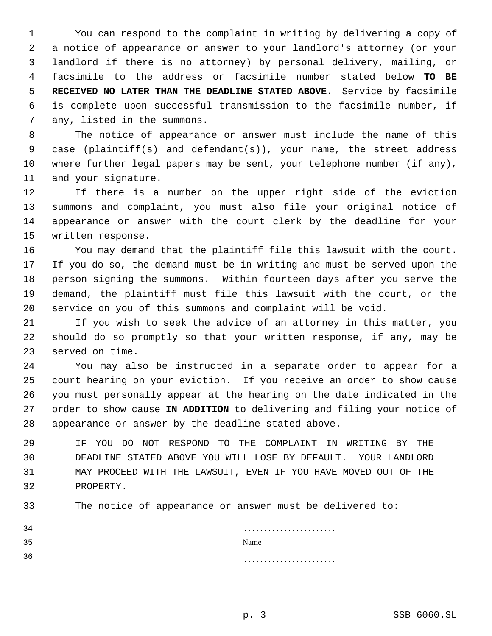You can respond to the complaint in writing by delivering a copy of a notice of appearance or answer to your landlord's attorney (or your landlord if there is no attorney) by personal delivery, mailing, or facsimile to the address or facsimile number stated below **TO BE RECEIVED NO LATER THAN THE DEADLINE STATED ABOVE**. Service by facsimile is complete upon successful transmission to the facsimile number, if any, listed in the summons.

 The notice of appearance or answer must include the name of this case (plaintiff(s) and defendant(s)), your name, the street address where further legal papers may be sent, your telephone number (if any), and your signature.

 If there is a number on the upper right side of the eviction summons and complaint, you must also file your original notice of appearance or answer with the court clerk by the deadline for your written response.

 You may demand that the plaintiff file this lawsuit with the court. If you do so, the demand must be in writing and must be served upon the person signing the summons. Within fourteen days after you serve the demand, the plaintiff must file this lawsuit with the court, or the service on you of this summons and complaint will be void.

 If you wish to seek the advice of an attorney in this matter, you should do so promptly so that your written response, if any, may be served on time.

 You may also be instructed in a separate order to appear for a court hearing on your eviction. If you receive an order to show cause you must personally appear at the hearing on the date indicated in the order to show cause **IN ADDITION** to delivering and filing your notice of appearance or answer by the deadline stated above.

 IF YOU DO NOT RESPOND TO THE COMPLAINT IN WRITING BY THE DEADLINE STATED ABOVE YOU WILL LOSE BY DEFAULT. YOUR LANDLORD MAY PROCEED WITH THE LAWSUIT, EVEN IF YOU HAVE MOVED OUT OF THE PROPERTY.

The notice of appearance or answer must be delivered to:

| 34 |      |
|----|------|
| 35 | Name |
| 36 |      |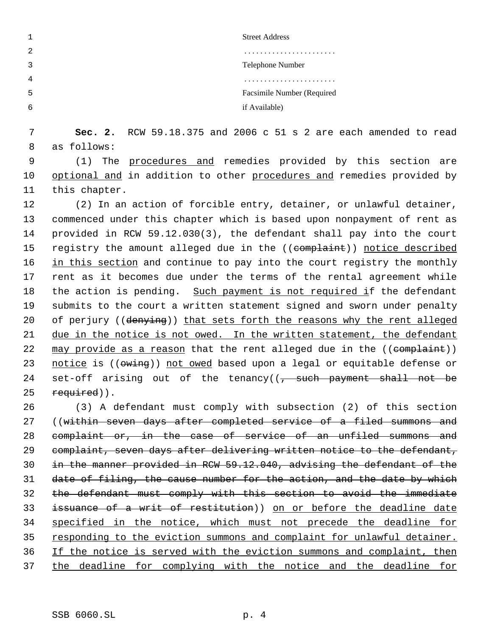|   | <b>Street Address</b>      |
|---|----------------------------|
| 2 |                            |
|   | Telephone Number           |
|   |                            |
| כ | Facsimile Number (Required |
| h | if Available)              |

 7 **Sec. 2.** RCW 59.18.375 and 2006 c 51 s 2 are each amended to read 8 as follows:

 9 (1) The procedures and remedies provided by this section are 10 optional and in addition to other procedures and remedies provided by 11 this chapter.

12 (2) In an action of forcible entry, detainer, or unlawful detainer, 13 commenced under this chapter which is based upon nonpayment of rent as 14 provided in RCW 59.12.030(3), the defendant shall pay into the court 15 registry the amount alleged due in the ((complaint)) notice described 16 in this section and continue to pay into the court registry the monthly 17 rent as it becomes due under the terms of the rental agreement while 18 the action is pending. Such payment is not required if the defendant 19 submits to the court a written statement signed and sworn under penalty 20 of perjury ((denying)) that sets forth the reasons why the rent alleged 21 due in the notice is not owed. In the written statement, the defendant 22 may provide as a reason that the rent alleged due in the ((complaint)) 23 notice is ((owing)) not owed based upon a legal or equitable defense or 24 set-off arising out of the tenancy( $\sqrt{7}$  such payment shall not be  $25$  required)).

26 (3) A defendant must comply with subsection (2) of this section 27 ((within seven days after completed service of a filed summons and 28 complaint or, in the case of service of an unfiled summons and 29 complaint, seven days after delivering written notice to the defendant, 30 in the manner provided in RCW 59.12.040, advising the defendant of the 31 date of filing, the cause number for the action, and the date by which 32 the defendant must comply with this section to avoid the immediate 33 issuance of a writ of restitution)) on or before the deadline date 34 specified in the notice, which must not precede the deadline for 35 responding to the eviction summons and complaint for unlawful detainer. 36 If the notice is served with the eviction summons and complaint, then 37 the deadline for complying with the notice and the deadline for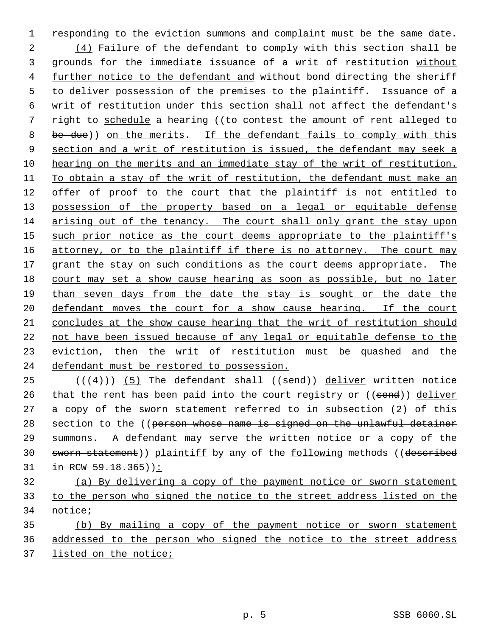responding to the eviction summons and complaint must be the same date. 2 (4) Failure of the defendant to comply with this section shall be grounds for the immediate issuance of a writ of restitution without further notice to the defendant and without bond directing the sheriff to deliver possession of the premises to the plaintiff. Issuance of a writ of restitution under this section shall not affect the defendant's 7 right to schedule a hearing ((to contest the amount of rent alleged to 8 be due)) on the merits. If the defendant fails to comply with this section and a writ of restitution is issued, the defendant may seek a hearing on the merits and an immediate stay of the writ of restitution. To obtain a stay of the writ of restitution, the defendant must make an offer of proof to the court that the plaintiff is not entitled to 13 possession of the property based on a legal or equitable defense arising out of the tenancy. The court shall only grant the stay upon 15 such prior notice as the court deems appropriate to the plaintiff's 16 attorney, or to the plaintiff if there is no attorney. The court may 17 grant the stay on such conditions as the court deems appropriate. The court may set a show cause hearing as soon as possible, but no later than seven days from the date the stay is sought or the date the 20 defendant moves the court for a show cause hearing. If the court concludes at the show cause hearing that the writ of restitution should not have been issued because of any legal or equitable defense to the eviction, then the writ of restitution must be quashed and the defendant must be restored to possession.

 $((4+))$  (5) The defendant shall ((send)) deliver written notice 26 that the rent has been paid into the court registry or ((send)) deliver a copy of the sworn statement referred to in subsection (2) of this 28 section to the ((person whose name is signed on the unlawful detainer summons. A defendant may serve the written notice or a copy of the 30 sworn statement)) plaintiff by any of the following methods ((described in RCW 59.18.365)):

 (a) By delivering a copy of the payment notice or sworn statement to the person who signed the notice to the street address listed on the notice;

 (b) By mailing a copy of the payment notice or sworn statement addressed to the person who signed the notice to the street address listed on the notice;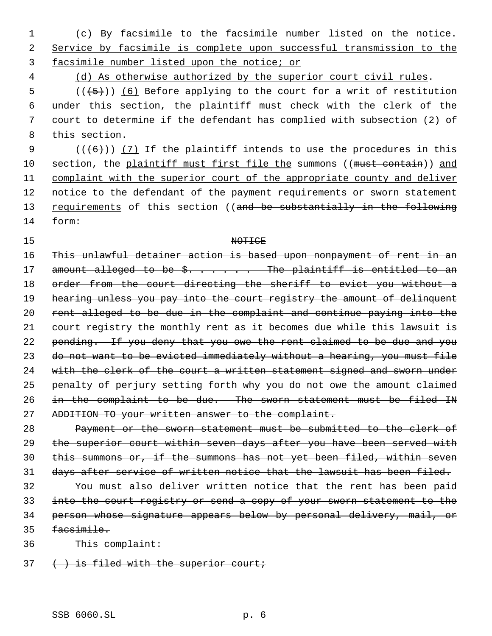(c) By facsimile to the facsimile number listed on the notice. Service by facsimile is complete upon successful transmission to the facsimile number listed upon the notice; or

(d) As otherwise authorized by the superior court civil rules.

 $((+5))$   $(6)$  Before applying to the court for a writ of restitution under this section, the plaintiff must check with the clerk of the court to determine if the defendant has complied with subsection (2) of this section.

9  $((+6))$  (7) If the plaintiff intends to use the procedures in this 10 section, the plaintiff must first file the summons ((must contain)) and complaint with the superior court of the appropriate county and deliver 12 notice to the defendant of the payment requirements or sworn statement 13 requirements of this section ((and be substantially in the following form:

### 15 NOTICE

 This unlawful detainer action is based upon nonpayment of rent in an 17 amount alleged to be \$. . . . . The plaintiff is entitled to an 18 order from the court directing the sheriff to evict you without a 19 hearing unless you pay into the court registry the amount of delinquent rent alleged to be due in the complaint and continue paying into the 21 court registry the monthly rent as it becomes due while this lawsuit is pending. If you deny that you owe the rent claimed to be due and you do not want to be evicted immediately without a hearing, you must file 24 with the clerk of the court a written statement signed and sworn under penalty of perjury setting forth why you do not owe the amount claimed in the complaint to be due. The sworn statement must be filed IN ADDITION TO your written answer to the complaint.

 Payment or the sworn statement must be submitted to the clerk of 29 the superior court within seven days after you have been served with this summons or, if the summons has not yet been filed, within seven days after service of written notice that the lawsuit has been filed.

 You must also deliver written notice that the rent has been paid into the court registry or send a copy of your sworn statement to the person whose signature appears below by personal delivery, mail, or facsimile.

This complaint:

 $37 \left( \rightarrow \right)$  is filed with the superior court;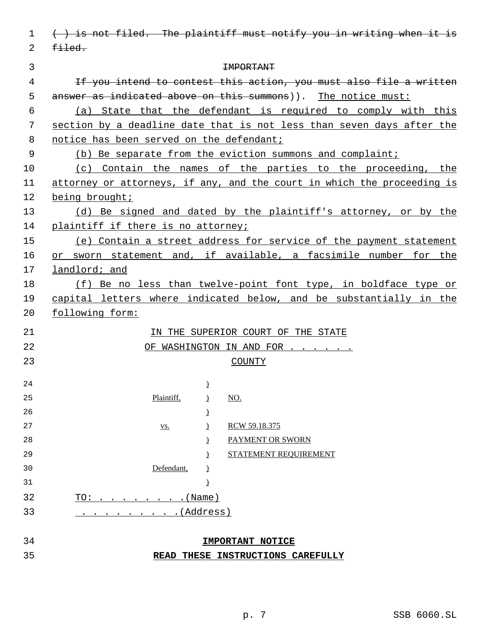| 1        | () is not filed. The plaintiff must notify you in writing when it is    |  |
|----------|-------------------------------------------------------------------------|--|
| 2        | $f{\text -}$                                                            |  |
| 3        | <b>IMPORTANT</b>                                                        |  |
| 4        | If you intend to contest this action, you must also file a written      |  |
| 5        | answer as indicated above on this summons)). The notice must:           |  |
| 6        | (a) State that the defendant is required to comply with this            |  |
| 7        | section by a deadline date that is not less than seven days after the   |  |
| 8        | notice has been served on the defendant;                                |  |
| 9        | (b) Be separate from the eviction summons and complaint;                |  |
| $10 \,$  | (c) Contain the names of the parties to the proceeding, the             |  |
| 11       | attorney or attorneys, if any, and the court in which the proceeding is |  |
| 12       | being brought;                                                          |  |
| 13       | (d) Be signed and dated by the plaintiff's attorney, or by the          |  |
| 14       | plaintiff if there is no attorney;                                      |  |
| 15       | (e) Contain a street address for service of the payment statement       |  |
| 16       | or sworn statement and, if available, a facsimile number for the        |  |
| 17       | landlord; and                                                           |  |
| 18       | (f) Be no less than twelve-point font type, in boldface type or         |  |
| 19       | capital letters where indicated below, and be substantially in the      |  |
| 20       | following form:                                                         |  |
| 21       | IN THE SUPERIOR COURT OF THE STATE                                      |  |
| 22       | OF WASHINGTON IN AND FOR                                                |  |
| 23       | <b>COUNTY</b>                                                           |  |
|          |                                                                         |  |
| 24       | $\overline{1}$                                                          |  |
| 25       | Plaintiff,<br>$\underline{NO}$ .<br>$\lambda$                           |  |
| 26       | $\mathfrak{c}$                                                          |  |
| 27<br>28 | RCW 59.18.375<br>$\mathcal{L}$<br><u>VS.</u><br>PAYMENT OR SWORN        |  |
| 29       | $\mathcal{L}$<br>STATEMENT REQUIREMENT                                  |  |
| 30       | $\mathcal{L}$<br>Defendant,                                             |  |
| 31       | $\lambda$<br>$\mathcal{L}$                                              |  |
| 32       | TO: (Name)                                                              |  |
| 33       | . (Address)                                                             |  |
|          |                                                                         |  |
| 34       | <b>IMPORTANT NOTICE</b>                                                 |  |
| 35       | READ THESE INSTRUCTIONS CAREFULLY                                       |  |
|          |                                                                         |  |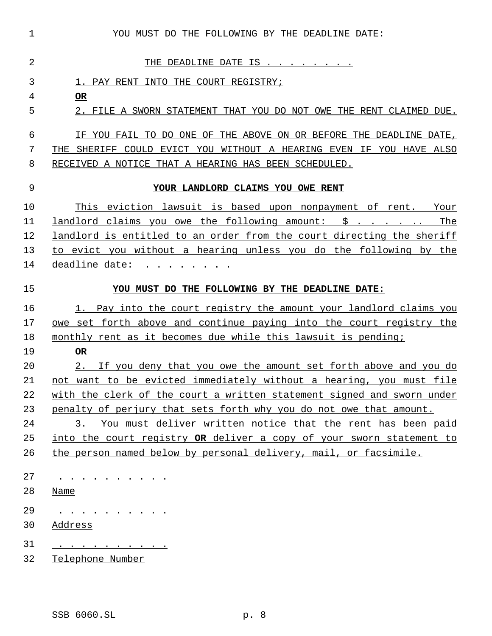| $\mathbf 1$ | YOU MUST DO THE FOLLOWING BY THE DEADLINE DATE:                        |
|-------------|------------------------------------------------------------------------|
| 2           | THE DEADLINE DATE IS                                                   |
| 3           | 1. PAY RENT INTO THE COURT REGISTRY;                                   |
| 4           | <b>OR</b>                                                              |
| 5           | 2. FILE A SWORN STATEMENT THAT YOU DO NOT OWE THE RENT CLAIMED DUE.    |
| 6           | IF YOU FAIL TO DO ONE OF THE ABOVE ON OR BEFORE THE DEADLINE DATE,     |
| 7           | THE SHERIFF COULD EVICT YOU WITHOUT A HEARING EVEN IF YOU HAVE ALSO    |
| 8           | RECEIVED A NOTICE THAT A HEARING HAS BEEN SCHEDULED.                   |
| 9           | YOUR LANDLORD CLAIMS YOU OWE RENT                                      |
| 10          | This eviction lawsuit is based upon nonpayment of rent. Your           |
| 11          | The<br>landlord claims you owe the following amount: \$                |
| 12          | landlord is entitled to an order from the court directing the sheriff  |
| 13          | to evict you without a hearing unless you do the following by the      |
| 14          | deadline date:                                                         |
| 15          | YOU MUST DO THE FOLLOWING BY THE DEADLINE DATE:                        |
| 16          | 1. Pay into the court registry the amount your landlord claims you     |
| 17          | owe set forth above and continue paying into the court registry the    |
| 18          | monthly rent as it becomes due while this lawsuit is pending;          |
| 19          | <b>OR</b>                                                              |
| 20          | 2. If you deny that you owe the amount set forth above and you do      |
| 21          | not want to be evicted immediately without a hearing, you must file    |
| 22          | with the clerk of the court a written statement signed and sworn under |
| 23          | penalty of perjury that sets forth why you do not owe that amount.     |
| 24          | 3. You must deliver written notice that the rent has been paid         |
| 25          | into the court registry OR deliver a copy of your sworn statement to   |
| 26          | the person named below by personal delivery, mail, or facsimile.       |
| 27          | . <u>.</u>                                                             |
| 28          | <u>Name</u>                                                            |
| 29          | $\cdots$                                                               |
| 30          | Address                                                                |
| 31          |                                                                        |
| 32          | Telephone Number                                                       |